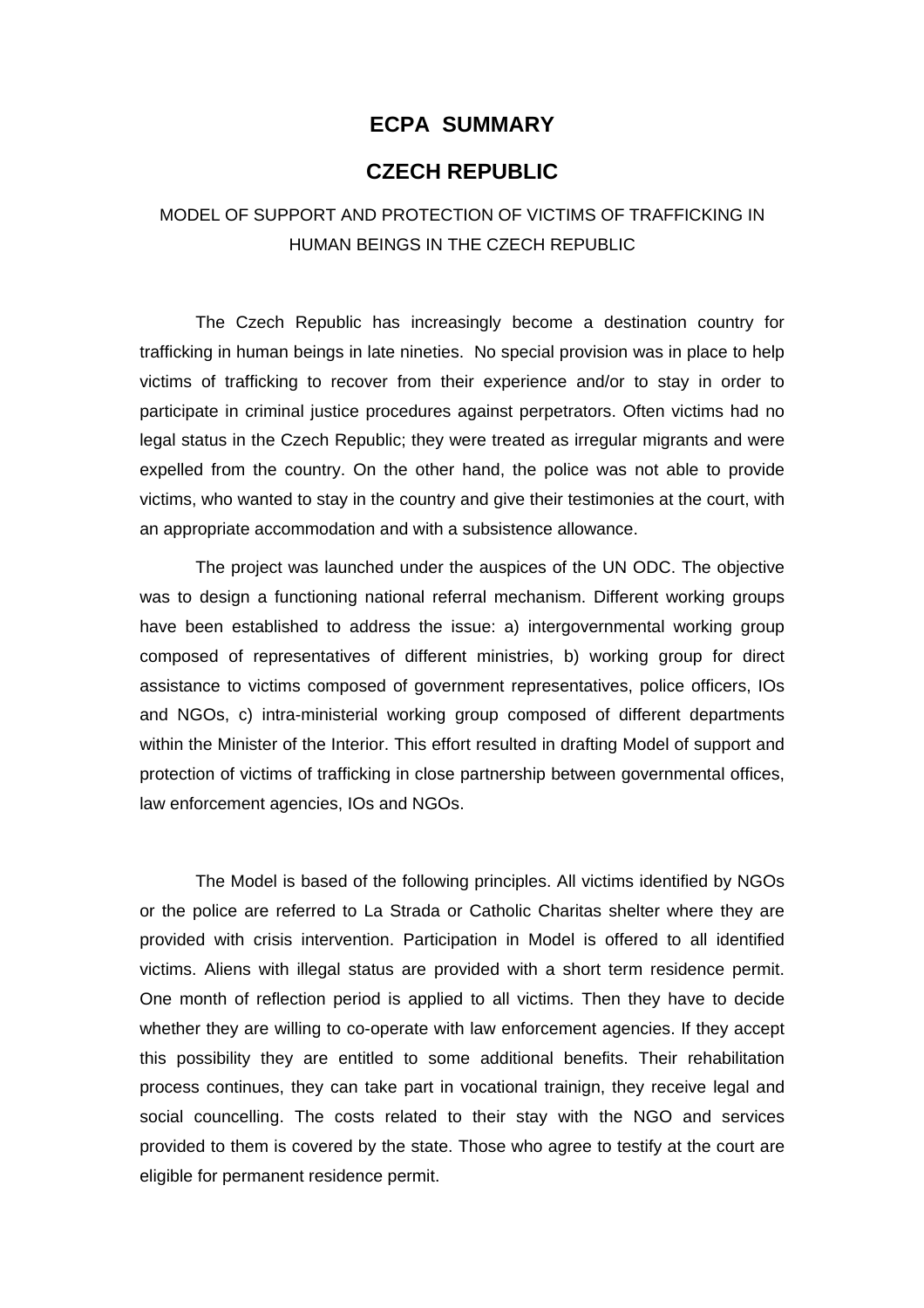#### **ECPA SUMMARY**

#### **CZECH REPUBLIC**

### MODEL OF SUPPORT AND PROTECTION OF VICTIMS OF TRAFFICKING IN HUMAN BEINGS IN THE CZECH REPUBLIC

 The Czech Republic has increasingly become a destination country for trafficking in human beings in late nineties. No special provision was in place to help victims of trafficking to recover from their experience and/or to stay in order to participate in criminal justice procedures against perpetrators. Often victims had no legal status in the Czech Republic; they were treated as irregular migrants and were expelled from the country. On the other hand, the police was not able to provide victims, who wanted to stay in the country and give their testimonies at the court, with an appropriate accommodation and with a subsistence allowance.

 The project was launched under the auspices of the UN ODC. The objective was to design a functioning national referral mechanism. Different working groups have been established to address the issue: a) intergovernmental working group composed of representatives of different ministries, b) working group for direct assistance to victims composed of government representatives, police officers, IOs and NGOs, c) intra-ministerial working group composed of different departments within the Minister of the Interior. This effort resulted in drafting Model of support and protection of victims of trafficking in close partnership between governmental offices, law enforcement agencies, IOs and NGOs.

 The Model is based of the following principles. All victims identified by NGOs or the police are referred to La Strada or Catholic Charitas shelter where they are provided with crisis intervention. Participation in Model is offered to all identified victims. Aliens with illegal status are provided with a short term residence permit. One month of reflection period is applied to all victims. Then they have to decide whether they are willing to co-operate with law enforcement agencies. If they accept this possibility they are entitled to some additional benefits. Their rehabilitation process continues, they can take part in vocational trainign, they receive legal and social councelling. The costs related to their stay with the NGO and services provided to them is covered by the state. Those who agree to testify at the court are eligible for permanent residence permit.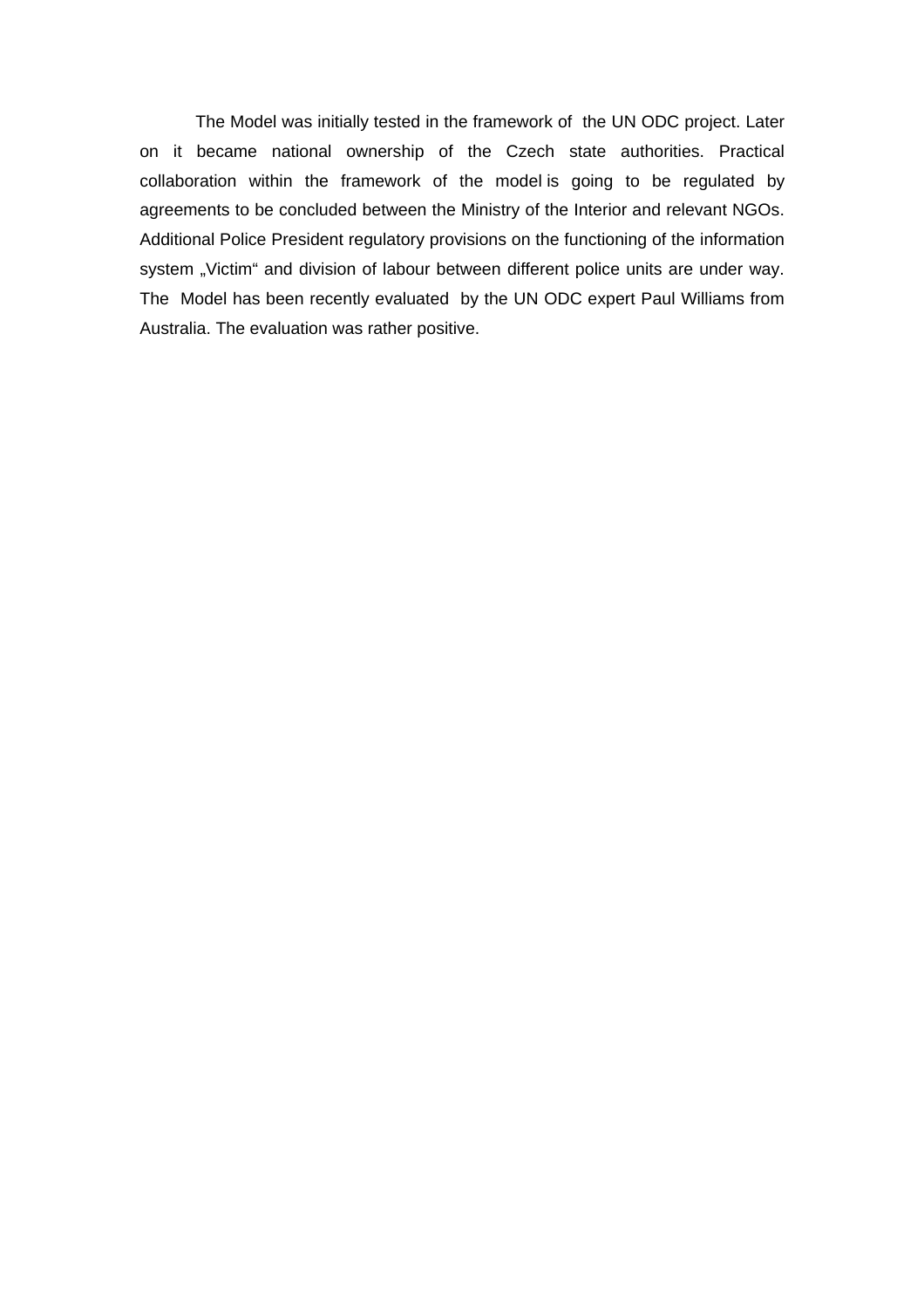The Model was initially tested in the framework of the UN ODC project. Later on it became national ownership of the Czech state authorities. Practical collaboration within the framework of the model is going to be regulated by agreements to be concluded between the Ministry of the Interior and relevant NGOs. Additional Police President regulatory provisions on the functioning of the information system "Victim" and division of labour between different police units are under way. The Model has been recently evaluated by the UN ODC expert Paul Williams from Australia. The evaluation was rather positive.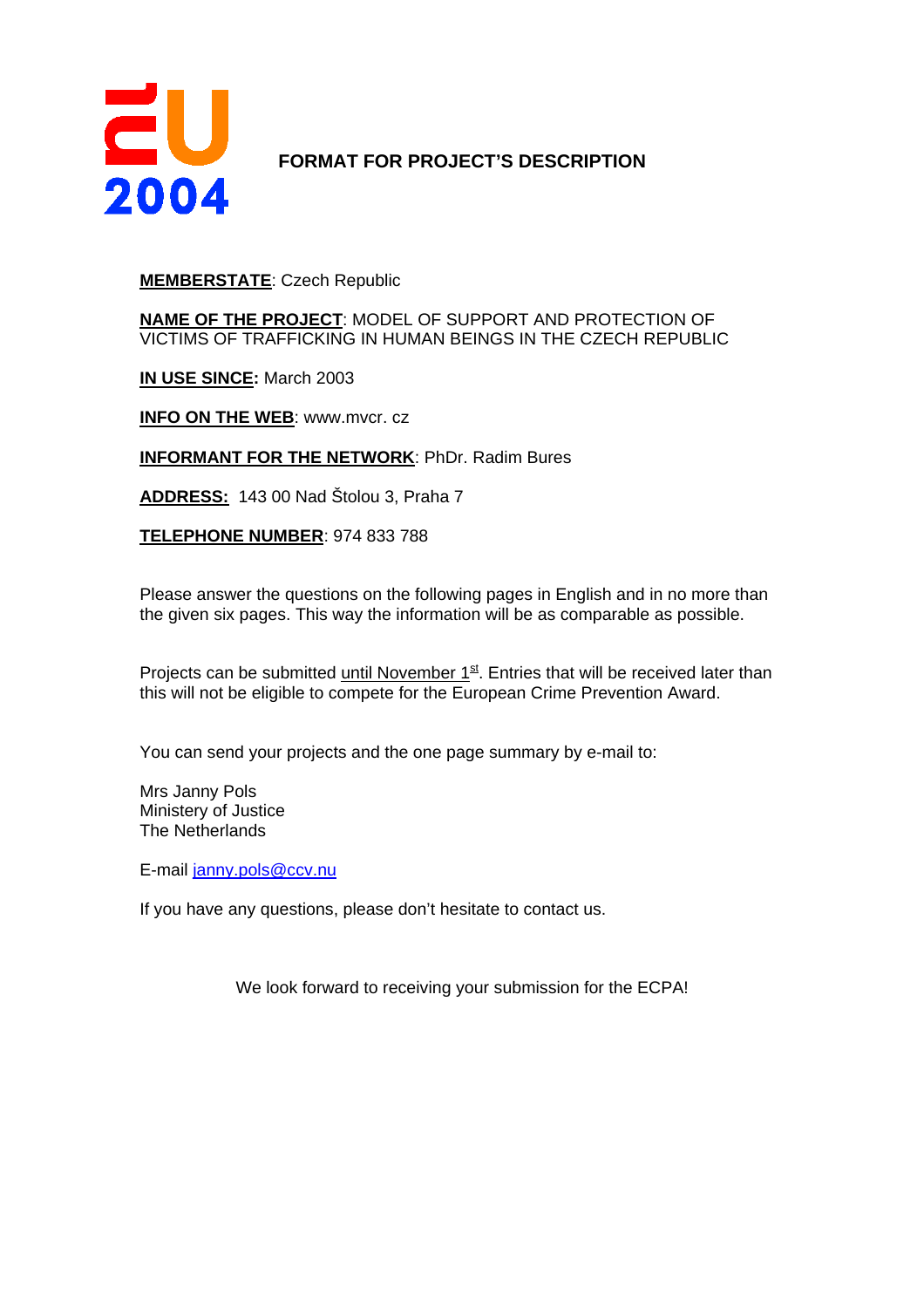

### **FORMAT FOR PROJECT'S DESCRIPTION**

#### **MEMBERSTATE**: Czech Republic

**NAME OF THE PROJECT**: MODEL OF SUPPORT AND PROTECTION OF VICTIMS OF TRAFFICKING IN HUMAN BEINGS IN THE CZECH REPUBLIC

**IN USE SINCE:** March 2003

**INFO ON THE WEB**: www.mvcr. cz

**INFORMANT FOR THE NETWORK**: PhDr. Radim Bures

**ADDRESS:** 143 00 Nad Štolou 3, Praha 7

**TELEPHONE NUMBER**: 974 833 788

Please answer the questions on the following pages in English and in no more than the given six pages. This way the information will be as comparable as possible.

Projects can be submitted until November  $1<sup>st</sup>$ . Entries that will be received later than this will not be eligible to compete for the European Crime Prevention Award.

You can send your projects and the one page summary by e-mail to:

Mrs Janny Pols Ministery of Justice The Netherlands

E-mail janny.pols@ccv.nu

If you have any questions, please don't hesitate to contact us.

We look forward to receiving your submission for the ECPA!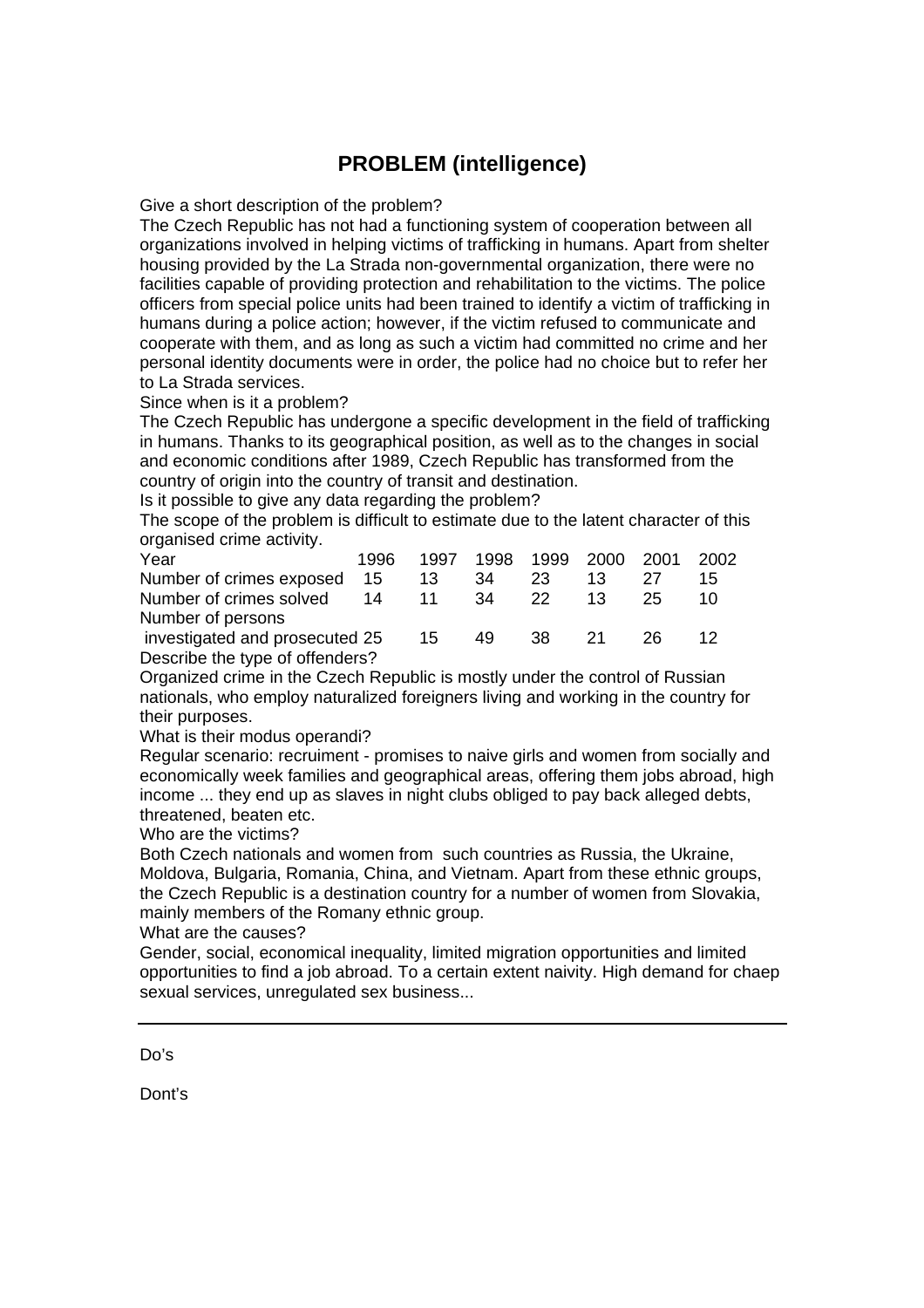## **PROBLEM (intelligence)**

Give a short description of the problem?

The Czech Republic has not had a functioning system of cooperation between all organizations involved in helping victims of trafficking in humans. Apart from shelter housing provided by the La Strada non-governmental organization, there were no facilities capable of providing protection and rehabilitation to the victims. The police officers from special police units had been trained to identify a victim of trafficking in humans during a police action; however, if the victim refused to communicate and cooperate with them, and as long as such a victim had committed no crime and her personal identity documents were in order, the police had no choice but to refer her to La Strada services.

Since when is it a problem?

The Czech Republic has undergone a specific development in the field of trafficking in humans. Thanks to its geographical position, as well as to the changes in social and economic conditions after 1989, Czech Republic has transformed from the country of origin into the country of transit and destination.

Is it possible to give any data regarding the problem?

The scope of the problem is difficult to estimate due to the latent character of this organised crime activity.

| Year                            | 1996 | 1997 | 1998 |              | 1999 2000 | - 2001 | 2002 |
|---------------------------------|------|------|------|--------------|-----------|--------|------|
| Number of crimes exposed        | 15   | 13   | 34   | 23           | 13        |        | 15   |
| Number of crimes solved         | 14   | - 11 | -34  | $22^{\circ}$ | 13        | 25     | 10   |
| Number of persons               |      |      |      |              |           |        |      |
| investigated and prosecuted 25  |      | 15   | 49   | 38           | - 21      | 26     |      |
| Describe the type of offenders? |      |      |      |              |           |        |      |

Organized crime in the Czech Republic is mostly under the control of Russian nationals, who employ naturalized foreigners living and working in the country for their purposes.

What is their modus operandi?

Regular scenario: recruiment - promises to naive girls and women from socially and economically week families and geographical areas, offering them jobs abroad, high income ... they end up as slaves in night clubs obliged to pay back alleged debts, threatened, beaten etc.

Who are the victims?

Both Czech nationals and women from such countries as Russia, the Ukraine, Moldova, Bulgaria, Romania, China, and Vietnam. Apart from these ethnic groups, the Czech Republic is a destination country for a number of women from Slovakia, mainly members of the Romany ethnic group.

What are the causes?

Gender, social, economical inequality, limited migration opportunities and limited opportunities to find a job abroad. To a certain extent naivity. High demand for chaep sexual services, unregulated sex business...

Do's

Dont's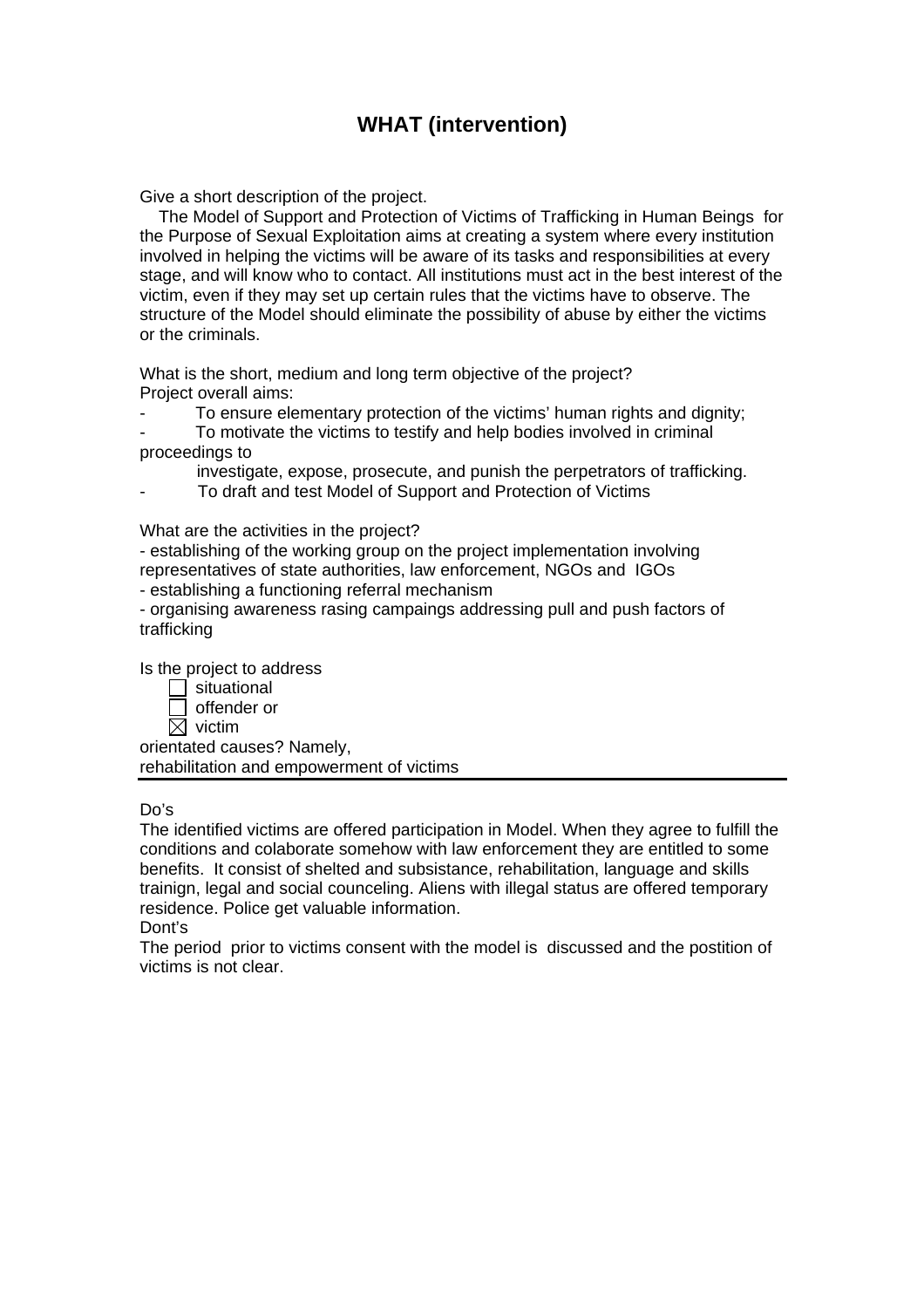### **WHAT (intervention)**

Give a short description of the project.

 The Model of Support and Protection of Victims of Trafficking in Human Beings for the Purpose of Sexual Exploitation aims at creating a system where every institution involved in helping the victims will be aware of its tasks and responsibilities at every stage, and will know who to contact. All institutions must act in the best interest of the victim, even if they may set up certain rules that the victims have to observe. The structure of the Model should eliminate the possibility of abuse by either the victims or the criminals.

What is the short, medium and long term objective of the project? Project overall aims:

To ensure elementary protection of the victims' human rights and dignity;

- To motivate the victims to testify and help bodies involved in criminal proceedings to
	- investigate, expose, prosecute, and punish the perpetrators of trafficking.
- To draft and test Model of Support and Protection of Victims

What are the activities in the project?

- establishing of the working group on the project implementation involving representatives of state authorities, law enforcement, NGOs and IGOs - establishing a functioning referral mechanism

- organising awareness rasing campaings addressing pull and push factors of trafficking

Is the project to address

 $\Box$  situational offender or  $\overline{\boxtimes}$  victim orientated causes? Namely, rehabilitation and empowerment of victims

Do's

The identified victims are offered participation in Model. When they agree to fulfill the conditions and colaborate somehow with law enforcement they are entitled to some benefits. It consist of shelted and subsistance, rehabilitation, language and skills trainign, legal and social counceling. Aliens with illegal status are offered temporary residence. Police get valuable information.

Dont's

The period prior to victims consent with the model is discussed and the postition of victims is not clear.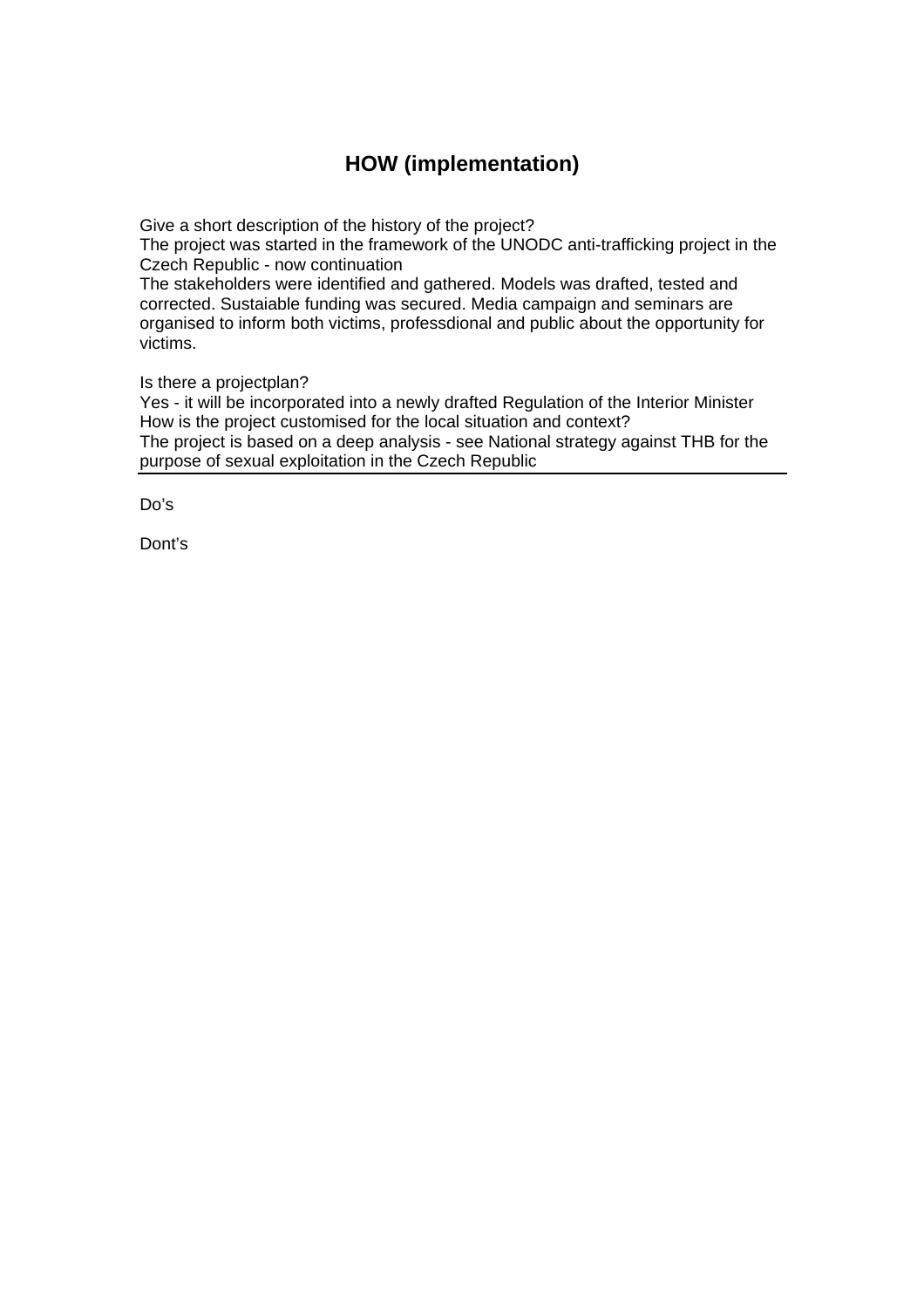## **HOW (implementation)**

Give a short description of the history of the project?

The project was started in the framework of the UNODC anti-trafficking project in the Czech Republic - now continuation

The stakeholders were identified and gathered. Models was drafted, tested and corrected. Sustaiable funding was secured. Media campaign and seminars are organised to inform both victims, professdional and public about the opportunity for victims.

Is there a projectplan?

Yes - it will be incorporated into a newly drafted Regulation of the Interior Minister How is the project customised for the local situation and context? The project is based on a deep analysis - see National strategy against THB for the purpose of sexual exploitation in the Czech Republic

Do's

Dont's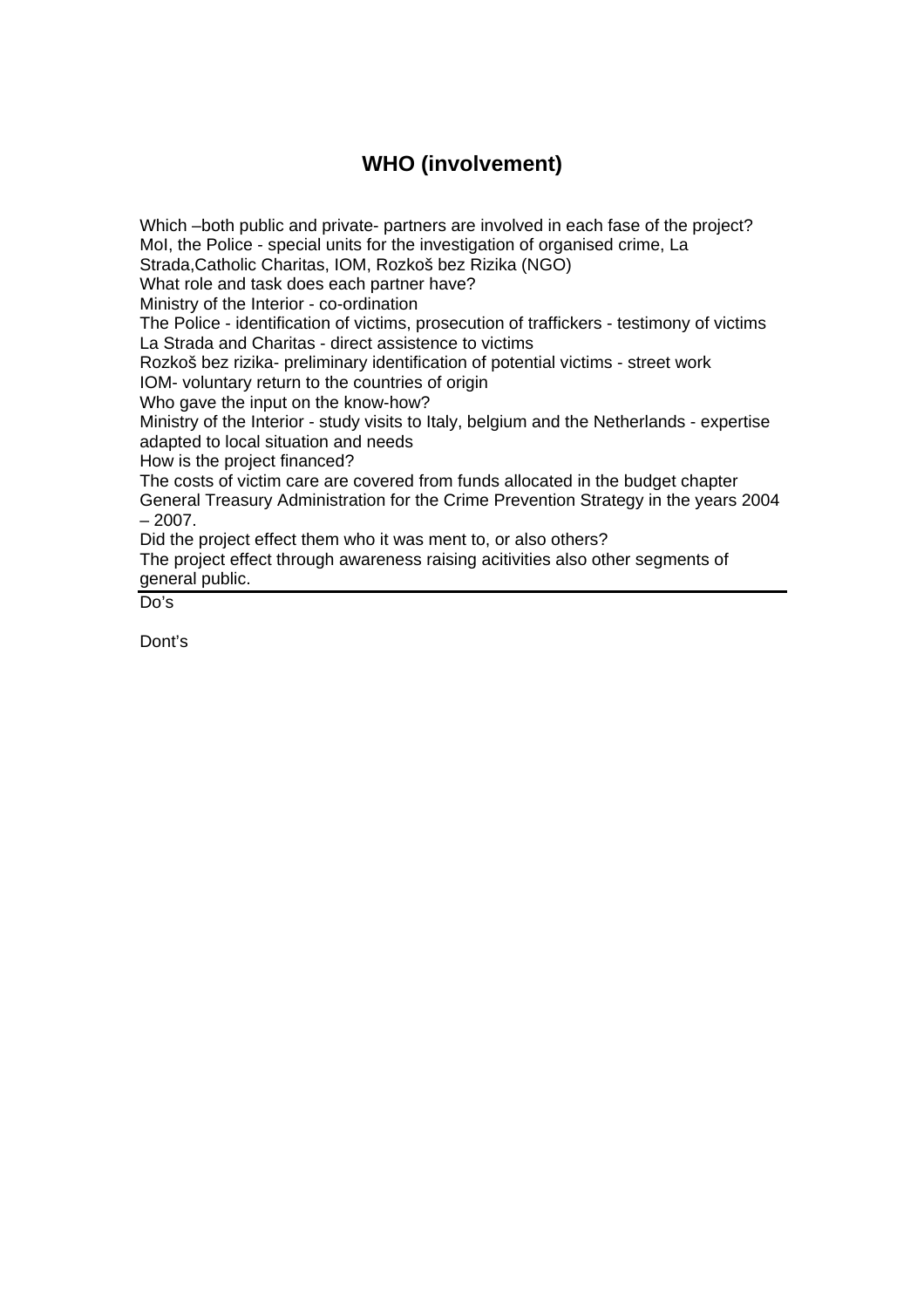# **WHO (involvement)**

Which –both public and private- partners are involved in each fase of the project? MoI, the Police - special units for the investigation of organised crime, La Strada,Catholic Charitas, IOM, Rozkoš bez Rizika (NGO) What role and task does each partner have? Ministry of the Interior - co-ordination The Police - identification of victims, prosecution of traffickers - testimony of victims La Strada and Charitas - direct assistence to victims Rozkoš bez rizika- preliminary identification of potential victims - street work IOM- voluntary return to the countries of origin Who gave the input on the know-how? Ministry of the Interior - study visits to Italy, belgium and the Netherlands - expertise adapted to local situation and needs How is the project financed? The costs of victim care are covered from funds allocated in the budget chapter General Treasury Administration for the Crime Prevention Strategy in the years 2004  $-2007.$ Did the project effect them who it was ment to, or also others? The project effect through awareness raising acitivities also other segments of

general public.

Do's

Dont's